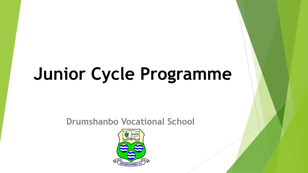# **Junior Cycle Programme**

**Drumshanbo Vocational School**

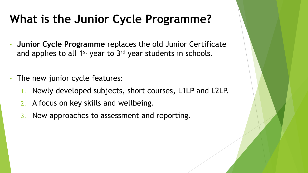### **What is the Junior Cycle Programme?**

- **Junior Cycle Programme** replaces the old Junior Certificate and applies to all 1<sup>st</sup> year to 3<sup>rd</sup> year students in schools.
- The new junior cycle features:
	- 1. Newly developed subjects, short courses, L1LP and L2LP.
	- 2. A focus on key skills and wellbeing.
	- 3. New approaches to assessment and reporting.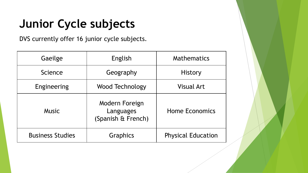## **Junior Cycle subjects**

DVS currently offer 16 junior cycle subjects.

| Gaeilge                 | English                                           | <b>Mathematics</b>        |
|-------------------------|---------------------------------------------------|---------------------------|
| Science                 | Geography                                         | <b>History</b>            |
| Engineering             | Wood Technology                                   | <b>Visual Art</b>         |
| <b>Music</b>            | Modern Foreign<br>Languages<br>(Spanish & French) | <b>Home Economics</b>     |
| <b>Business Studies</b> | Graphics                                          | <b>Physical Education</b> |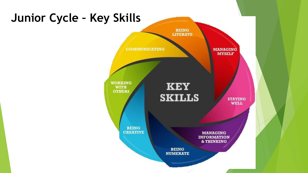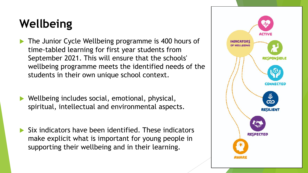#### **Wellbeing**

- The Junior Cycle Wellbeing programme is 400 hours of time-tabled learning for first year students from September 2021. This will ensure that the schools' wellbeing programme meets the identified needs of the students in their own unique school context.
- Wellbeing includes social, emotional, physical, spiritual, intellectual and environmental aspects.
- $\blacktriangleright$  Six indicators have been identified. These indicators make explicit what is important for young people in supporting their wellbeing and in their learning.

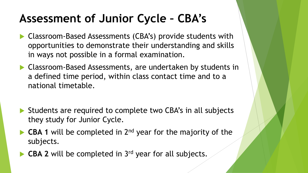#### **Assessment of Junior Cycle – CBA's**

- ▶ Classroom-Based Assessments (CBA's) provide students with opportunities to demonstrate their understanding and skills in ways not possible in a formal examination.
- ▶ Classroom-Based Assessments, are undertaken by students in a defined time period, within class contact time and to a national timetable.
- Students are required to complete two CBA's in all subjects they study for Junior Cycle.
- ▶ CBA 1 will be completed in 2<sup>nd</sup> year for the majority of the subjects.
- **CBA 2** will be completed in 3rd year for all subjects.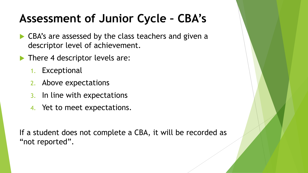#### **Assessment of Junior Cycle – CBA's**

- ▶ CBA's are assessed by the class teachers and given a descriptor level of achievement.
- There 4 descriptor levels are:
	- 1. Exceptional
	- 2. Above expectations
	- 3. In line with expectations
	- 4. Yet to meet expectations.

If a student does not complete a CBA, it will be recorded as "not reported".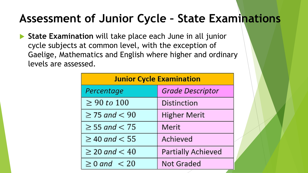#### **Assessment of Junior Cycle – State Examinations**

**State Examination** will take place each June in all junior cycle subjects at common level, with the exception of Gaelige, Mathematics and English where higher and ordinary levels are assessed.

| <b>Junior Cycle Examination</b> |                           |  |
|---------------------------------|---------------------------|--|
| Percentage                      | <b>Grade Descriptor</b>   |  |
| $\geq 90 \text{ to } 100$       | <b>Distinction</b>        |  |
| $\geq$ 75 and $< 90$            | <b>Higher Merit</b>       |  |
| $\geq$ 55 and $<$ 75            | Merit                     |  |
| $\geq$ 40 and $< 55$            | Achieved                  |  |
| $\geq$ 20 and $< 40$            | <b>Partially Achieved</b> |  |
| $\geq$ 0 and $\lt$ 20           | <b>Not Graded</b>         |  |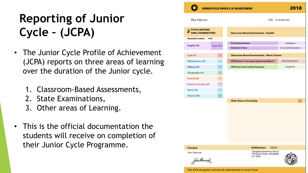## **Reporting of Junior Cycle – (JCPA)**

- The Junior Cycle Profile of Achievement (JCPA) reports on three areas of learning over the duration of the Junior cycle.
	- 1. Classroom-Based Assessments,
	- 2. State Examinations,
	- 3. Other areas of Learning.
- This is the official documentation the students will receive on completion of their Junior Cycle Programme.